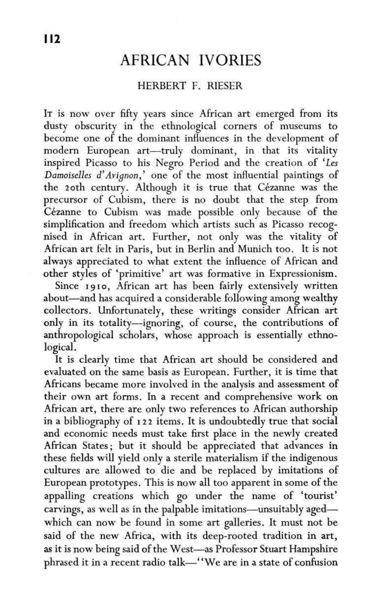## AFRICAN IVORIES

## HERBERT F. RIESER

IT is now over fifty years since African art emerged from its dusty obscurity in the ethnological corners of museums to become one of the dominant influences in the development of modern European art—truly dominant, in that its vitality inspired Picasso to his Negro Period and the creation of *'Les*  Damoiselles d'Avignon,' one of the most influential paintings of the 20th century. Although it is true that Cézanne was the precursor of Cubism, there is no doubt that the step from Cézanne to Cubism was made possible only because of the simplification and freedom which artists such as Picasso recognised in African art. Further, not only was the vitality of African art felt in Paris, but in Berlin and Munich too. It is not always appreciated to what extent the influence of African and other styles of 'primitive' art was formative in Expressionism.

Since 1910, African art has been fairly extensively written about—and has acquired a considerable following among wealthy collectors. Unfortunately, these writings consider African art only in its totality—ignoring, of course, the contributions of anthropological scholars, whose approach is essentially ethnological.

It is clearly time that African art should be considered and evaluated on the same basis as European. Further, it is time that Africans became more involved in the analysis and assessment of their own art forms. In a recent and comprehensive work on African art, there are only two references to African authorship in a bibliography of 122 items. It is undoubtedly true that social and economic needs must take first place in the newly created African States; but it should be appreciated that advances in these fields will yield only a sterile materialism if the indigenous cultures are allowed to die and be replaced by imitations of European prototypes. This is now all too apparent in some of the appalling creations which go under the name of 'tourist' carvings, as well as in the palpable imitations—unsuitably aged which can now be found in some art galleries. It must not be said of the new Africa, with its deep-rooted tradition in art, as it is now being said of the West—as Professor Stuart Hampshire phrased it in a recent radio talk—"We are in a state of confusion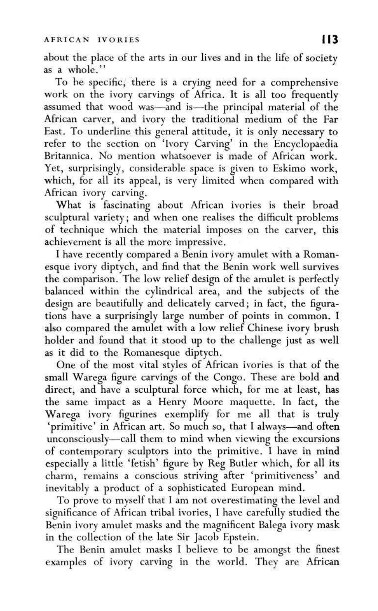about the place of the arts in our lives and in the life of society as a whole."

To be specific, there is a crying need for a comprehensive work on the ivory carvings of Africa. It is all too frequently assumed that wood was—and is—the principal material of the African carver, and ivory the traditional medium of the Far East. To underline this general attitude, it is only necessary to refer to the section on 'Ivory Carving' in the Encyclopaedia Britannica. No mention whatsoever is made of African work. Yet, surprisingly, considerable space is given to Eskimo work, which, for all its appeal, is very limited when compared with African ivory carving.

What is fascinating about African ivories is their broad sculptural variety; and when one realises the difficult problems of technique which the material imposes on the carver, this achievement is all the more impressive.

I have recently compared a Benin ivory amulet with a Romanesque ivory diptych, and find that the Benin work well survives the comparison. The low relief design of the amulet is perfectly balanced within the cylindrical area, and the subjects of the design are beautifully and delicately carved; in fact, the figurations have a surprisingly large number of points in common. I also compared the amulet with a low relief Chinese ivory brush holder and found that it stood up to the challenge just as well as it did to the Romanesque diptych.

One of the most vital styles of African ivories is that of the small Warega figure carvings of the Congo. These are bold and direct, and have a sculptural force which, for me at least, has the same impact as a Henry Moore maquette. In fact, the Warega ivory figurines exemplify for me all that is truly 'primitive' in African art. So much so, that I always—and often unconsciously—call them to mind when viewing the excursions of contemporary sculptors into the primitive. I have in mind especially a little 'fetish' figure by Reg Butler which, for all its charm, remains a conscious striving after 'primitiveness' and inevitably a product of a sophisticated European mind.

To prove to myself that I am not overestimating the level and significance of African tribal ivories, I have carefully studied the Benin ivory amulet masks and the magnificent Balega ivory mask in the collection of the late Sir Jacob Epstein.

The Benin amulet masks I believe to be amongst the finest examples of ivory carving in the world. They are African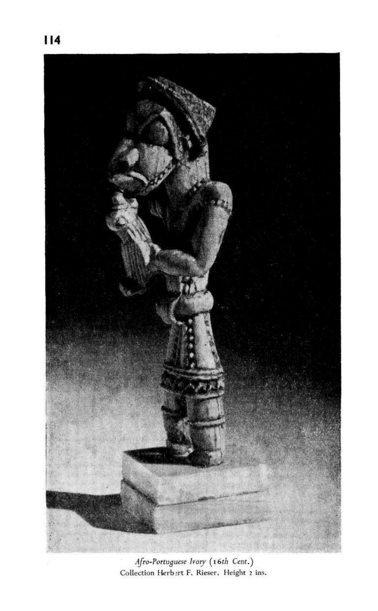

 $\label{thm:1} \begin{array}{l} \textit{A} fro\text{-}Portuguese \textit{ \textit{Forry} (16th Cent.)}\\ \textit{Collection \textit{Herb} \texttt{.rt F. Rieser. } Height \textit{ 2 ins.} } \end{array}$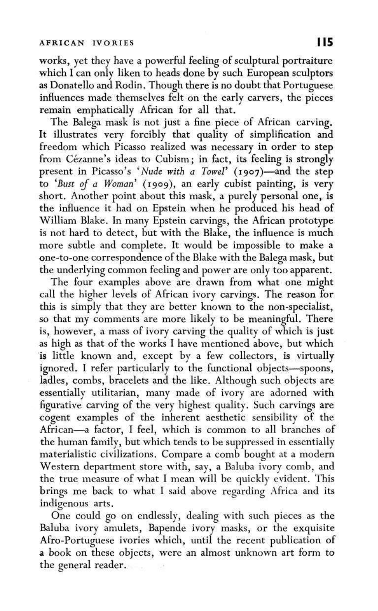works, yet they have a powerful feeling of sculptural portraiture which I can only liken to heads done by such European sculptors as Donatello and Rodin. Though there is no doubt that Portuguese influences made themselves felt on the early carvers, the pieces remain emphatically African for all that.

The Balega mask is not just a fine piece of African carving. It illustrates very forcibly that quality of simplification and freedom which Picasso realized was necessary in order to step from Cézanne's ideas to Cubism; in fact, its feeling is strongly present in Picasso's *'Nude with a Towel'* (1907)—and the step to *'Bust of a Woman'* (1909), an early cubist painting, is very short. Another point about this mask, a purely personal one, is the influence it had on Epstein when he produced his head of William Blake. In many Epstein carvings, the African prototype is not hard to detect, but with the Blake, the influence is much more subtle and complete. It would be impossible to make a one-to-one correspondence of the Blake with the Balega mask, but the underlying common feeling and power are only too apparent.

The four examples above are drawn from what one might call the higher levels of African ivory carvings. The reason for this is simply that they are better known to the non-specialist, so that my comments are more likely to be meaningful. There is, however, a mass of ivory carving the quality of which is just as high as that of the works I have mentioned above, but which is little known and, except by a few collectors, is virtually ignored. I refer particularly to the functional objects-spoons, ladles, combs, bracelets and the like. Although such objects are essentially utilitarian, many made of ivory are adorned with figurative carving of the very highest quality. Such carvings are cogent examples of the inherent aesthetic sensibility of the African—a factor, I feel, which is common to all branches of the human family, but which tends to be suppressed in essentially materialistic civilizations. Compare a comb bought at a modern Western department store with, say, a Baluba ivory comb, and the true measure of what I mean will be quickly evident. This brings me back to what I said above regarding Africa and its indigenous arts.

One could go on endlessly, dealing with such pieces as the Baluba ivory amulets, Bapende ivory masks, or the exquisite Afro-Portuguese ivories which, until the recent publication of a book on these objects, were an almost unknown art form to the general reader.